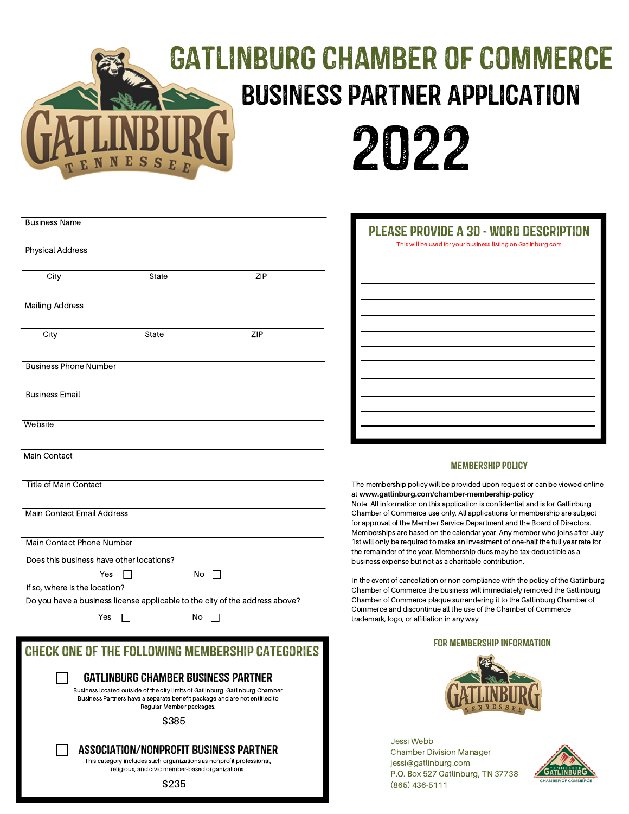# Gatlinburg Chamber of Commerce business partner Application



| <b>Business Name</b>                                                        |       |    |     |
|-----------------------------------------------------------------------------|-------|----|-----|
| <b>Physical Address</b>                                                     |       |    |     |
| City                                                                        | State |    | ZIP |
| <b>Mailing Address</b>                                                      |       |    |     |
|                                                                             |       |    |     |
| City                                                                        | State |    | ZIP |
| <b>Business Phone Number</b>                                                |       |    |     |
| <b>Business Email</b>                                                       |       |    |     |
| Website                                                                     |       |    |     |
| Main Contact                                                                |       |    |     |
| <b>Title of Main Contact</b>                                                |       |    |     |
| <b>Main Contact Email Address</b>                                           |       |    |     |
| Main Contact Phone Number                                                   |       |    |     |
| Does this business have other locations?                                    |       |    |     |
| Yes                                                                         |       | No |     |
| Do you have a business license applicable to the city of the address above? |       |    |     |
| Yes                                                                         |       | No |     |

# Check one of the following membership categories

Gatlinburg Chamber Business Partner

Business located outside of the city limits of Gatlinburg. Gatlinburg Chamber Business Partners have a separate benefit package and are not entitled to Regular Member packages.

\$385

## Association/nonprofit Business Partner

This category includes such organizations as nonprofit professional, religious, and civic member-based organizations.

\$235

| PLEASE PROVIDE A 30 - WORD DESCRIPTION<br>This will be used for your business listing on Gatlinburg.com |
|---------------------------------------------------------------------------------------------------------|
|                                                                                                         |
|                                                                                                         |
|                                                                                                         |
|                                                                                                         |
|                                                                                                         |
|                                                                                                         |

#### Membership Policy

The membership policy will be provided upon request or can be viewed online at **www.gatlinburg.com/chamber-membership-policy**

Note: All information on this application is confidential and is for Gatlinburg Chamber of Commerce use only. All applications for membership are subject for approval of the Member Service Department and the Board of Directors. Memberships are based on the calendar year. Any member who joins after July 1st will only be required to make an investment of one-half the full year rate for the remainder of the year. Membership dues may be tax-deductible as a business expense but not as a charitable contribution.

In the event of cancellation or non compliance with the policy of the Gatlinburg Chamber of Commerce the business will immediately removed the Gatlinburg Chamber of Commerce plaque surrendering it to the Gatlinburg Chamber of Commerce and discontinue all the use of the Chamber of Commerce trademark, logo, or affiliation in any way.

#### For Membership Information



Jessi Webb Chamber Division Manager jessi@gatlinburg.com P.O. Box 527 Gatlinburg, TN 37738 (865) 436-5111